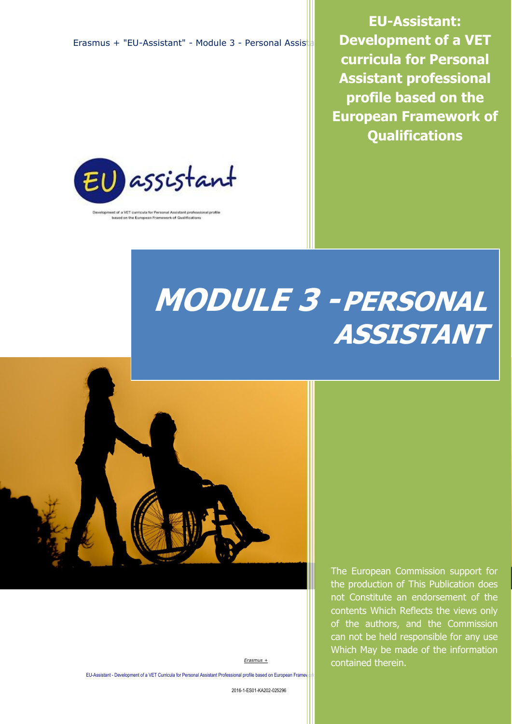Erasmus + "EU-Assistant" - Module 3 - Personal Assist



t of a VET curricula for Personal Assistant professional profile based on the European Framework of Qualifications

**EU-Assistant: Development of a VET curricula for Personal Assistant professional profile based on the European Framework of Qualifications**

# **MODULE 3 -PERSONAL ASSISTANT**



the production of This Publication does not Constitute an endorsement of the contents Which Reflects the views only of the authors, and the Commission can not be held responsible for any use Which May be made of the information contained therein.

The European Commission support for

*Erasmus +*

EU-Assistant - Development of a VET Curricula for Personal Assistant Professional profile based on European Frame

2016-1-ES01-KA202-025296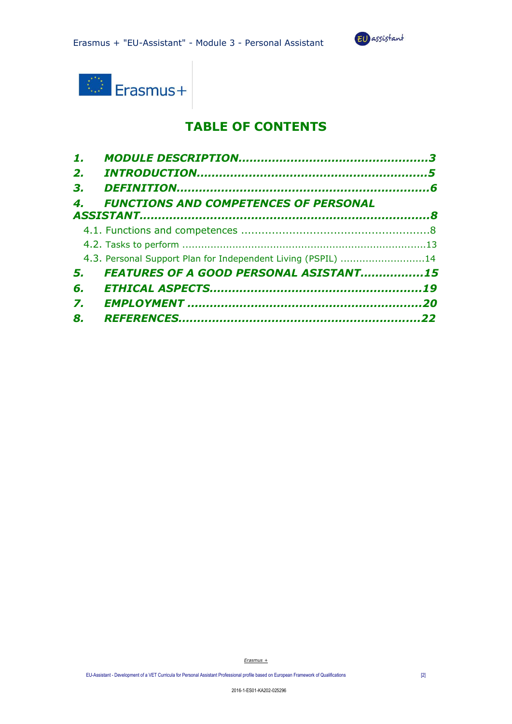



# **TABLE OF CONTENTS**

| 1. |                                                              |  |
|----|--------------------------------------------------------------|--|
| 2. |                                                              |  |
| 3. |                                                              |  |
| 4. | <b>FUNCTIONS AND COMPETENCES OF PERSONAL</b>                 |  |
|    |                                                              |  |
|    |                                                              |  |
|    |                                                              |  |
|    | 4.3. Personal Support Plan for Independent Living (PSPIL) 14 |  |
| 5. | FEATURES OF A GOOD PERSONAL ASISTANT15                       |  |
| 6. |                                                              |  |
| 7. |                                                              |  |
| 8. |                                                              |  |
|    |                                                              |  |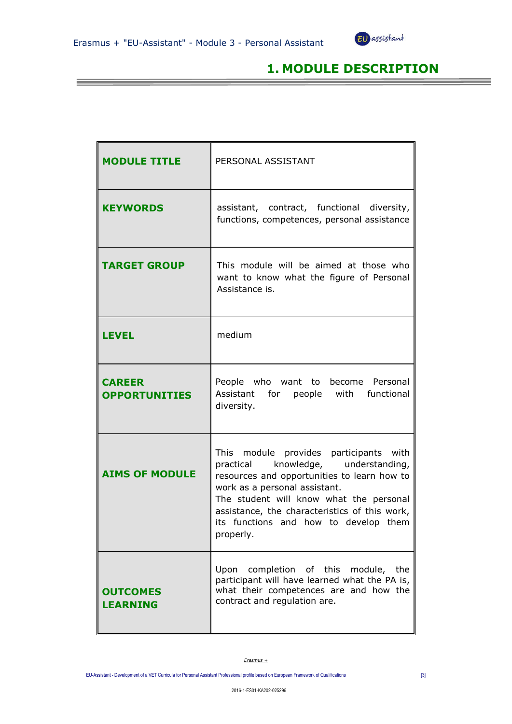**【1】 【1】 【1】 【1】 】 【1】 】 【1】 】 【1】 】 【1】 】 【1】 】 【1】 】 【1】 】 【1】 】** 



# **1. MODULE DESCRIPTION**

| <b>MODULE TITLE</b>                   | PERSONAL ASSISTANT                                                                                                                                                                                                                                                                                              |  |
|---------------------------------------|-----------------------------------------------------------------------------------------------------------------------------------------------------------------------------------------------------------------------------------------------------------------------------------------------------------------|--|
| <b>KEYWORDS</b>                       | assistant, contract, functional diversity,<br>functions, competences, personal assistance                                                                                                                                                                                                                       |  |
| <b>TARGET GROUP</b>                   | This module will be aimed at those who<br>want to know what the figure of Personal<br>Assistance is.                                                                                                                                                                                                            |  |
| <b>LEVEL</b>                          | medium                                                                                                                                                                                                                                                                                                          |  |
| <b>CAREER</b><br><b>OPPORTUNITIES</b> | People who want to become Personal<br>Assistant for people with functional<br>diversity.                                                                                                                                                                                                                        |  |
| <b>AIMS OF MODULE</b>                 | This module provides participants with<br>practical knowledge, understanding,<br>resources and opportunities to learn how to<br>work as a personal assistant.<br>The student will know what the personal<br>assistance, the characteristics of this work,<br>its functions and how to develop them<br>properly. |  |
| <b>OUTCOMES</b><br><b>LEARNING</b>    | Upon completion of this module, the<br>participant will have learned what the PA is,<br>what their competences are and how the<br>contract and regulation are.                                                                                                                                                  |  |

*Erasmus +*

EU-Assistant - Development of a VET Curricula for Personal Assistant Professional profile based on European Framework of Qualifications [3]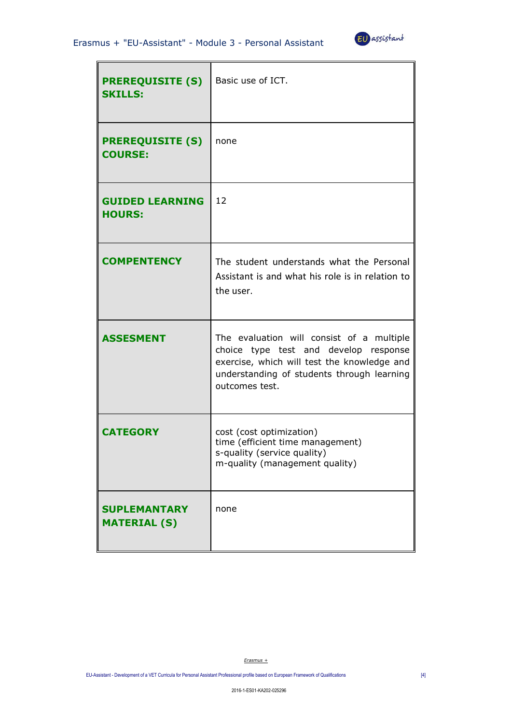

| <b>PREREQUISITE (S)</b><br><b>SKILLS:</b>  | Basic use of ICT.                                                                                                                                                                                 |
|--------------------------------------------|---------------------------------------------------------------------------------------------------------------------------------------------------------------------------------------------------|
| <b>PREREQUISITE (S)</b><br><b>COURSE:</b>  | none                                                                                                                                                                                              |
| <b>GUIDED LEARNING</b><br><b>HOURS:</b>    | 12                                                                                                                                                                                                |
| <b>COMPENTENCY</b>                         | The student understands what the Personal<br>Assistant is and what his role is in relation to<br>the user.                                                                                        |
| <b>ASSESMENT</b>                           | The evaluation will consist of a multiple<br>choice type test and develop response<br>exercise, which will test the knowledge and<br>understanding of students through learning<br>outcomes test. |
| <b>CATEGORY</b>                            | cost (cost optimization)<br>time (efficient time management)<br>s-quality (service quality)<br>m-quality (management quality)                                                                     |
| <b>SUPLEMANTARY</b><br><b>MATERIAL (S)</b> | none                                                                                                                                                                                              |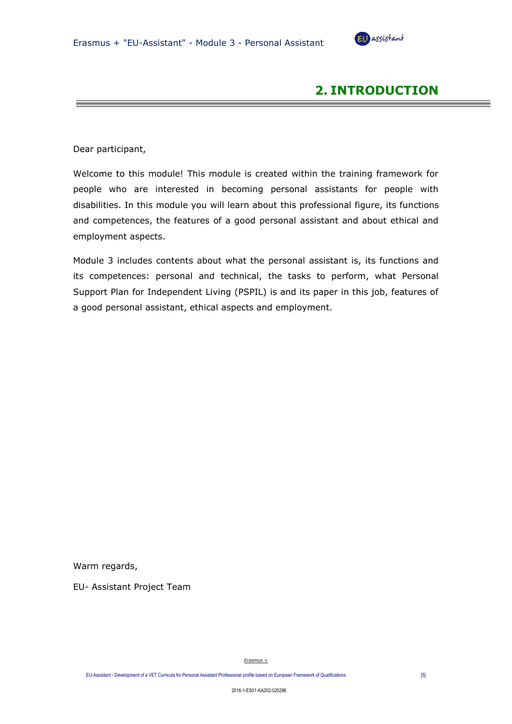

# **2. INTRODUCTION**

Dear participant,

Welcome to this module! This module is created within the training framework for people who are interested in becoming personal assistants for people with disabilities. In this module you will learn about this professional figure, its functions and competences, the features of a good personal assistant and about ethical and employment aspects.

Module 3 includes contents about what the personal assistant is, its functions and its competences: personal and technical, the tasks to perform, what Personal Support Plan for Independent Living (PSPIL) is and its paper in this job, features of a good personal assistant, ethical aspects and employment.

Warm regards,

EU- Assistant Project Team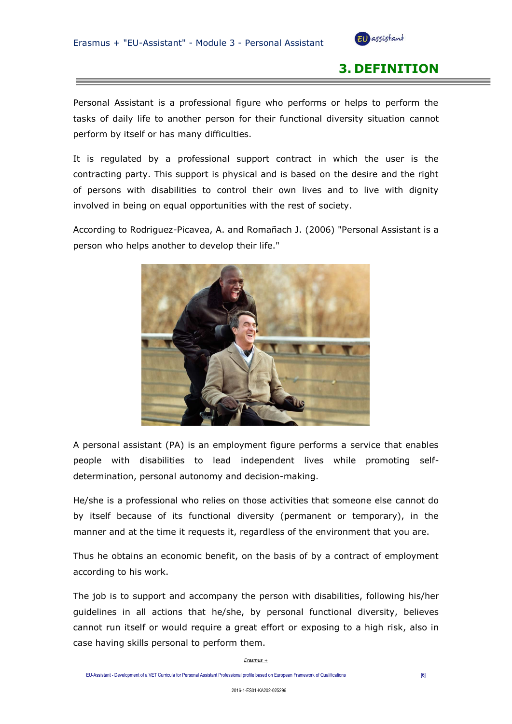

# **3. DEFINITION**

Personal Assistant is a professional figure who performs or helps to perform the tasks of daily life to another person for their functional diversity situation cannot perform by itself or has many difficulties.

It is regulated by a professional support contract in which the user is the contracting party. This support is physical and is based on the desire and the right of persons with disabilities to control their own lives and to live with dignity involved in being on equal opportunities with the rest of society.

According to Rodriguez-Picavea, A. and Romañach J. (2006) "Personal Assistant is a person who helps another to develop their life."



A personal assistant (PA) is an employment figure performs a service that enables people with disabilities to lead independent lives while promoting selfdetermination, personal autonomy and decision-making.

He/she is a professional who relies on those activities that someone else cannot do by itself because of its functional diversity (permanent or temporary), in the manner and at the time it requests it, regardless of the environment that you are.

Thus he obtains an economic benefit, on the basis of by a contract of employment according to his work.

The job is to support and accompany the person with disabilities, following his/her guidelines in all actions that he/she, by personal functional diversity, believes cannot run itself or would require a great effort or exposing to a high risk, also in case having skills personal to perform them.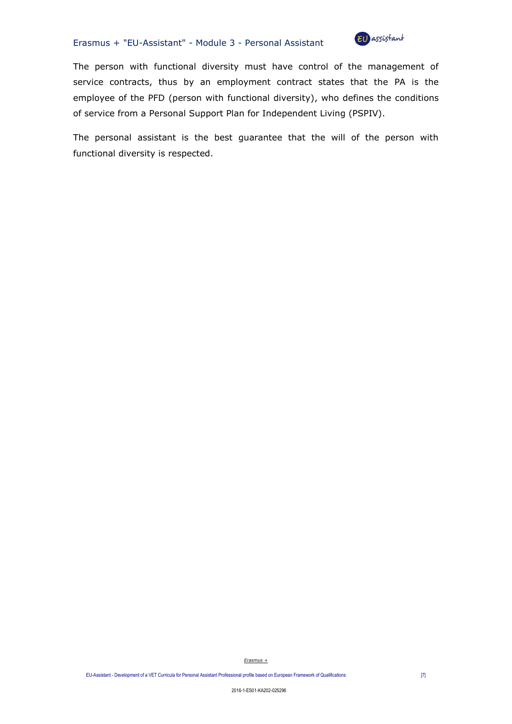#### Erasmus + "EU-Assistant" - Module 3 - Personal Assistant



The person with functional diversity must have control of the management of service contracts, thus by an employment contract states that the PA is the employee of the PFD (person with functional diversity), who defines the conditions of service from a Personal Support Plan for Independent Living (PSPIV).

The personal assistant is the best guarantee that the will of the person with functional diversity is respected.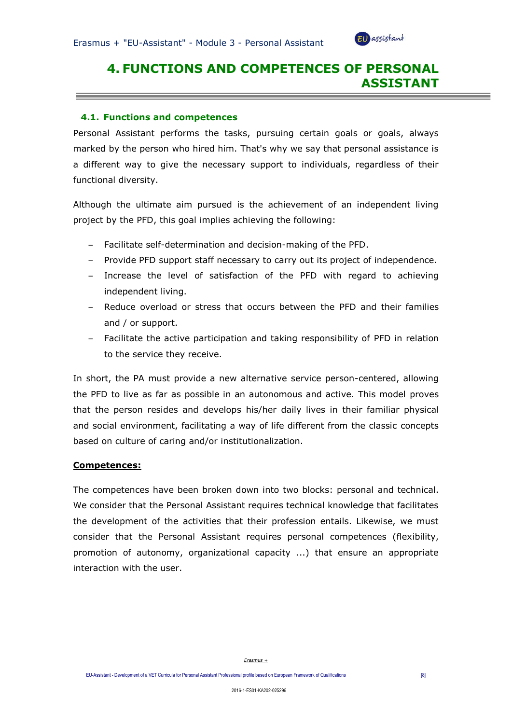

# **4. FUNCTIONS AND COMPETENCES OF PERSONAL ASSISTANT**

#### **4.1. Functions and competences**

Personal Assistant performs the tasks, pursuing certain goals or goals, always marked by the person who hired him. That's why we say that personal assistance is a different way to give the necessary support to individuals, regardless of their functional diversity.

Although the ultimate aim pursued is the achievement of an independent living project by the PFD, this goal implies achieving the following:

- Facilitate self-determination and decision-making of the PFD.
- Provide PFD support staff necessary to carry out its project of independence.
- Increase the level of satisfaction of the PFD with regard to achieving independent living.
- Reduce overload or stress that occurs between the PFD and their families and / or support.
- Facilitate the active participation and taking responsibility of PFD in relation to the service they receive.

In short, the PA must provide a new alternative service person-centered, allowing the PFD to live as far as possible in an autonomous and active. This model proves that the person resides and develops his/her daily lives in their familiar physical and social environment, facilitating a way of life different from the classic concepts based on culture of caring and/or institutionalization.

#### **Competences:**

The competences have been broken down into two blocks: personal and technical. We consider that the Personal Assistant requires technical knowledge that facilitates the development of the activities that their profession entails. Likewise, we must consider that the Personal Assistant requires personal competences (flexibility, promotion of autonomy, organizational capacity ...) that ensure an appropriate interaction with the user.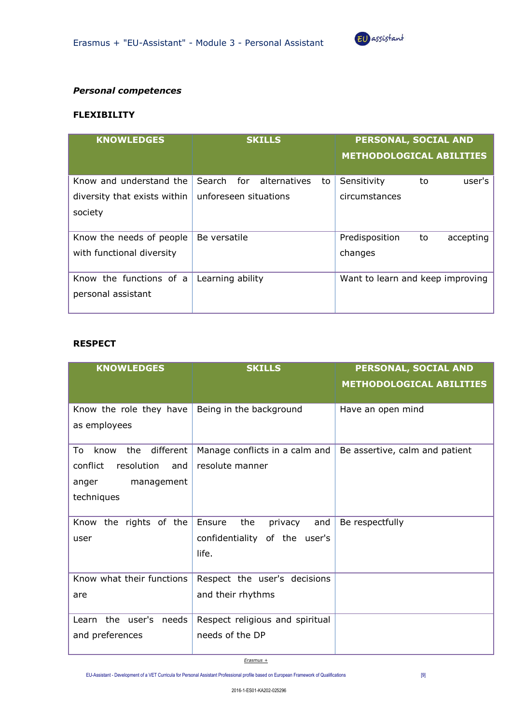

#### *Personal competences*

### **FLEXIBILITY**

| <b>KNOWLEDGES</b>                                     | <b>SKILLS</b>                       | PERSONAL, SOCIAL AND<br><b>METHODOLOGICAL ABILITIES</b> |
|-------------------------------------------------------|-------------------------------------|---------------------------------------------------------|
| Know and understand the                               | for<br>alternatives<br>Search<br>to | Sensitivity<br>user's<br>to                             |
| diversity that exists within<br>society               | unforeseen situations               | circumstances                                           |
| Know the needs of people<br>with functional diversity | Be versatile                        | Predisposition<br>accepting<br>to<br>changes            |
| Know the functions of a<br>personal assistant         | Learning ability                    | Want to learn and keep improving                        |

## **RESPECT**

| <b>KNOWLEDGES</b>              | <b>SKILLS</b>                   | PERSONAL, SOCIAL AND            |
|--------------------------------|---------------------------------|---------------------------------|
|                                |                                 | <b>METHODOLOGICAL ABILITIES</b> |
|                                |                                 |                                 |
| Know the role they have        | Being in the background         | Have an open mind               |
| as employees                   |                                 |                                 |
|                                |                                 |                                 |
| To<br>know<br>different<br>the | Manage conflicts in a calm and  | Be assertive, calm and patient  |
| conflict<br>resolution<br>and  | resolute manner                 |                                 |
| management<br>anger            |                                 |                                 |
| techniques                     |                                 |                                 |
|                                |                                 |                                 |
| Know the rights of the         | Ensure<br>the<br>privacy<br>and | Be respectfully                 |
| user                           | confidentiality of the user's   |                                 |
|                                | life.                           |                                 |
|                                |                                 |                                 |
| Know what their functions      | Respect the user's decisions    |                                 |
| are                            | and their rhythms               |                                 |
|                                |                                 |                                 |
| Learn the user's needs         | Respect religious and spiritual |                                 |
| and preferences                | needs of the DP                 |                                 |
|                                |                                 |                                 |

*Erasmus +*

EU-Assistant - Development of a VET Curricula for Personal Assistant Professional profile based on European Framework of Qualifications [9]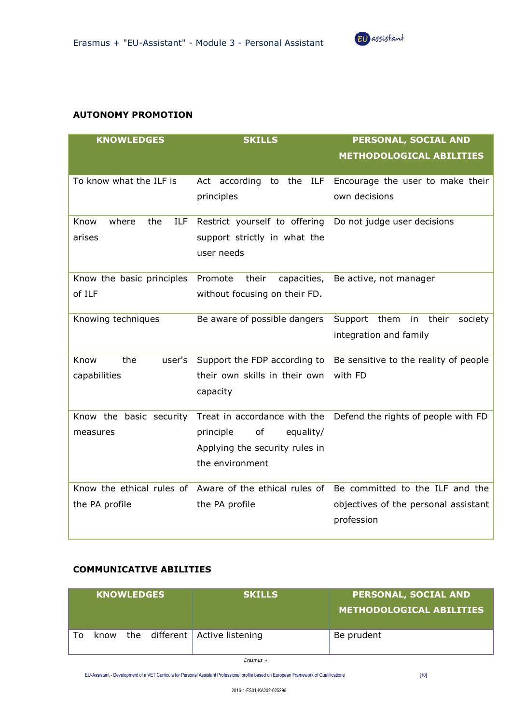

#### **AUTONOMY PROMOTION**

| <b>KNOWLEDGES</b>                  | <b>SKILLS</b>                                           | PERSONAL, SOCIAL AND                                             |
|------------------------------------|---------------------------------------------------------|------------------------------------------------------------------|
|                                    |                                                         | <b>METHODOLOGICAL ABILITIES</b>                                  |
| To know what the ILF is            | Act according<br>to the<br>ILF                          | Encourage the user to make their                                 |
|                                    |                                                         | own decisions                                                    |
|                                    | principles                                              |                                                                  |
| Know<br>where<br><b>ILF</b><br>the | Restrict yourself to offering                           | Do not judge user decisions                                      |
| arises                             | support strictly in what the                            |                                                                  |
|                                    | user needs                                              |                                                                  |
| Know the basic principles          | Promote<br>their<br>capacities,                         | Be active, not manager                                           |
| of ILF                             | without focusing on their FD.                           |                                                                  |
|                                    |                                                         |                                                                  |
| Knowing techniques                 | Be aware of possible dangers                            | Support them<br>their<br>in<br>society                           |
|                                    |                                                         | integration and family                                           |
| the<br>Know<br>user's              | Support the FDP according to                            | Be sensitive to the reality of people                            |
| capabilities                       | their own skills in their own                           | with FD                                                          |
|                                    |                                                         |                                                                  |
|                                    | capacity                                                |                                                                  |
| Know the basic security            |                                                         | Treat in accordance with the Defend the rights of people with FD |
| measures                           | of<br>equality/<br>principle                            |                                                                  |
|                                    | Applying the security rules in                          |                                                                  |
|                                    | the environment                                         |                                                                  |
|                                    |                                                         |                                                                  |
|                                    | Know the ethical rules of Aware of the ethical rules of | Be committed to the ILF and the                                  |
| the PA profile                     | the PA profile                                          | objectives of the personal assistant                             |
|                                    |                                                         | profession                                                       |
|                                    |                                                         |                                                                  |

## **COMMUNICATIVE ABILITIES**

|    | <b>KNOWLEDGES</b> |  | <b>SKILLS</b>                       | <b>PERSONAL, SOCIAL AND</b><br>METHODOLOGICAL ABILITIES |
|----|-------------------|--|-------------------------------------|---------------------------------------------------------|
| To |                   |  | know the different Active listening | Be prudent                                              |

*Erasmus +*

EU-Assistant - Development of a VET Curricula for Personal Assistant Professional profile based on European Framework of Qualifications [10]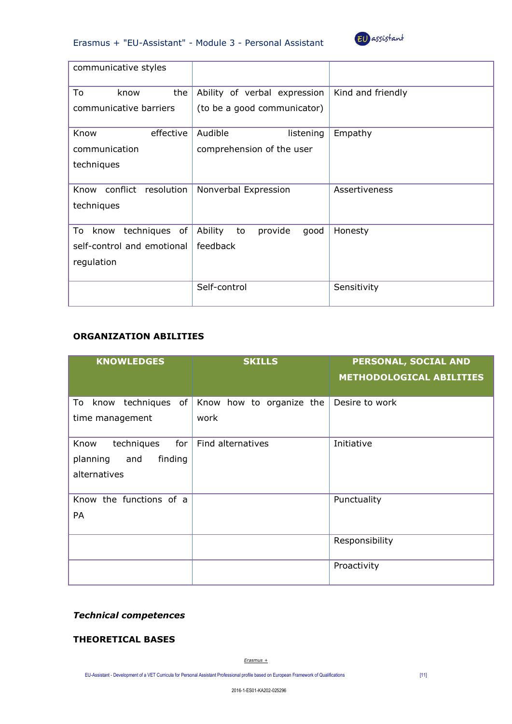



| communicative styles                      |                                  |                   |
|-------------------------------------------|----------------------------------|-------------------|
| To<br>the<br>know                         | Ability of verbal expression     | Kind and friendly |
| communicative barriers                    | (to be a good communicator)      |                   |
| Know<br>effective                         | Audible<br>listening             | Empathy           |
| communication                             | comprehension of the user        |                   |
| techniques                                |                                  |                   |
| conflict resolution<br>Know<br>techniques | Nonverbal Expression             | Assertiveness     |
| techniques of<br>To<br>know               | Ability<br>provide<br>to<br>good | Honesty           |
| self-control and emotional                | feedback                         |                   |
| regulation                                |                                  |                   |
|                                           | Self-control                     | Sensitivity       |

## **ORGANIZATION ABILITIES**

| <b>KNOWLEDGES</b>                                                       | <b>SKILLS</b>                    | PERSONAL, SOCIAL AND<br><b>METHODOLOGICAL ABILITIES</b> |
|-------------------------------------------------------------------------|----------------------------------|---------------------------------------------------------|
| know techniques of<br>To<br>time management                             | Know how to organize the<br>work | Desire to work                                          |
| techniques<br>for<br>Know<br>finding<br>planning<br>and<br>alternatives | Find alternatives                | Initiative                                              |
| Know the functions of a<br>PA                                           |                                  | Punctuality                                             |
|                                                                         |                                  | Responsibility                                          |
|                                                                         |                                  | Proactivity                                             |

## *Technical competences*

## **THEORETICAL BASES**

*Erasmus +*

EU-Assistant - Development of a VET Curricula for Personal Assistant Professional profile based on European Framework of Qualifications [11]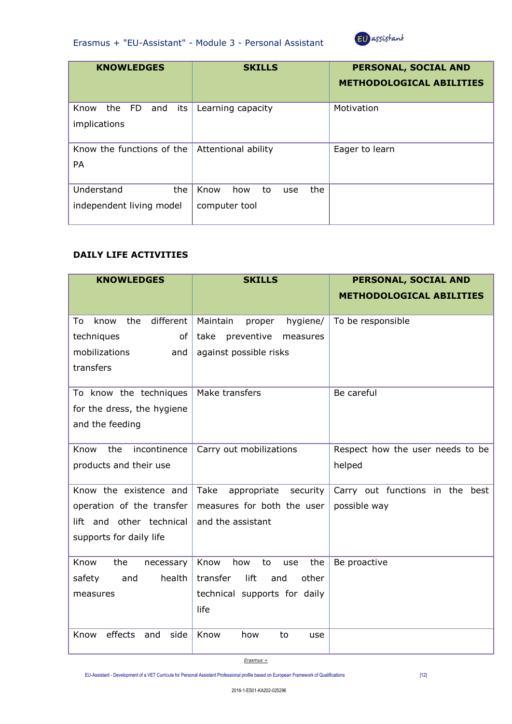



| <b>KNOWLEDGES</b>                             | <b>SKILLS</b>                                    | PERSONAL, SOCIAL AND<br><b>METHODOLOGICAL ABILITIES</b> |
|-----------------------------------------------|--------------------------------------------------|---------------------------------------------------------|
| Know<br>the FD<br>its<br>and<br>implications  | Learning capacity                                | Motivation                                              |
| Know the functions of the<br><b>PA</b>        | Attentional ability                              | Eager to learn                                          |
| Understand<br>the<br>independent living model | Know<br>the<br>how<br>to<br>use<br>computer tool |                                                         |

## **DAILY LIFE ACTIVITIES**

| <b>KNOWLEDGES</b>              | <b>SKILLS</b>                    | PERSONAL, SOCIAL AND             |
|--------------------------------|----------------------------------|----------------------------------|
|                                |                                  | <b>METHODOLOGICAL ABILITIES</b>  |
|                                |                                  |                                  |
| different<br>To<br>know<br>the | Maintain<br>proper<br>hygiene/   | To be responsible                |
| techniques<br>of               | take<br>preventive<br>measures   |                                  |
| mobilizations<br>and           | against possible risks           |                                  |
| transfers                      |                                  |                                  |
|                                |                                  |                                  |
| To know the techniques         | Make transfers                   | Be careful                       |
| for the dress, the hygiene     |                                  |                                  |
| and the feeding                |                                  |                                  |
|                                |                                  |                                  |
| Know<br>incontinence<br>the    | Carry out mobilizations          | Respect how the user needs to be |
| products and their use         |                                  | helped                           |
| Know the existence and         | Take                             | Carry out functions in the best  |
|                                | appropriate<br>security          |                                  |
| operation of the transfer      | measures for both the user       | possible way                     |
| lift and other technical       | and the assistant                |                                  |
| supports for daily life        |                                  |                                  |
|                                |                                  |                                  |
| Know<br>the<br>necessary       | Know<br>how<br>the<br>to<br>use  | Be proactive                     |
| health<br>safety<br>and        | lift<br>transfer<br>other<br>and |                                  |
| measures                       | technical supports for daily     |                                  |
|                                | life                             |                                  |
|                                |                                  |                                  |
| effects<br>and<br>side<br>Know | Know<br>how<br>to<br>use         |                                  |
|                                |                                  |                                  |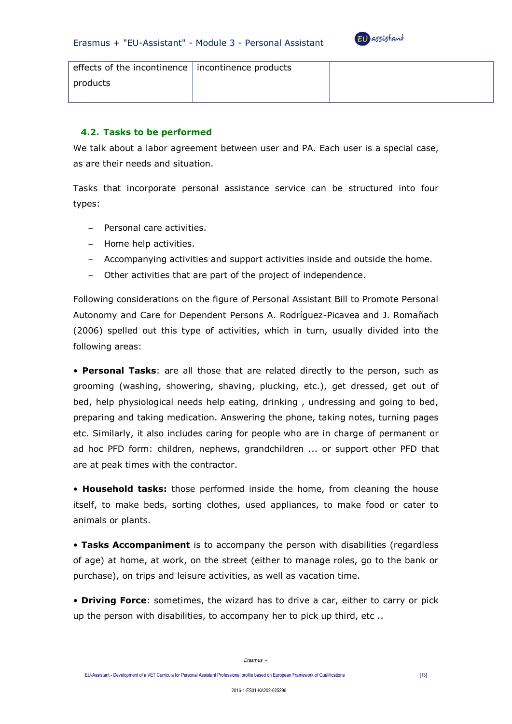

| effects of the incontinence   incontinence products |  |
|-----------------------------------------------------|--|
| products                                            |  |
|                                                     |  |

### **4.2. Tasks to be performed**

We talk about a labor agreement between user and PA. Each user is a special case, as are their needs and situation.

Tasks that incorporate personal assistance service can be structured into four types:

- Personal care activities.
- Home help activities.
- Accompanying activities and support activities inside and outside the home.
- Other activities that are part of the project of independence.

Following considerations on the figure of Personal Assistant Bill to Promote Personal Autonomy and Care for Dependent Persons A. Rodríguez-Picavea and J. Romañach (2006) spelled out this type of activities, which in turn, usually divided into the following areas:

• **Personal Tasks**: are all those that are related directly to the person, such as grooming (washing, showering, shaving, plucking, etc.), get dressed, get out of bed, help physiological needs help eating, drinking , undressing and going to bed, preparing and taking medication. Answering the phone, taking notes, turning pages etc. Similarly, it also includes caring for people who are in charge of permanent or ad hoc PFD form: children, nephews, grandchildren ... or support other PFD that are at peak times with the contractor.

• **Household tasks:** those performed inside the home, from cleaning the house itself, to make beds, sorting clothes, used appliances, to make food or cater to animals or plants.

• **Tasks Accompaniment** is to accompany the person with disabilities (regardless of age) at home, at work, on the street (either to manage roles, go to the bank or purchase), on trips and leisure activities, as well as vacation time.

• **Driving Force**: sometimes, the wizard has to drive a car, either to carry or pick up the person with disabilities, to accompany her to pick up third, etc ..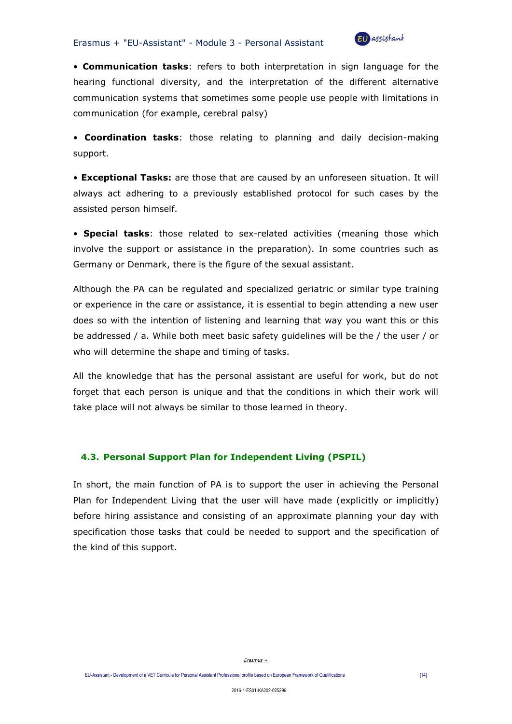

• **Communication tasks**: refers to both interpretation in sign language for the hearing functional diversity, and the interpretation of the different alternative communication systems that sometimes some people use people with limitations in communication (for example, cerebral palsy)

• **Coordination tasks**: those relating to planning and daily decision-making support.

• **Exceptional Tasks:** are those that are caused by an unforeseen situation. It will always act adhering to a previously established protocol for such cases by the assisted person himself.

• **Special tasks**: those related to sex-related activities (meaning those which involve the support or assistance in the preparation). In some countries such as Germany or Denmark, there is the figure of the sexual assistant.

Although the PA can be regulated and specialized geriatric or similar type training or experience in the care or assistance, it is essential to begin attending a new user does so with the intention of listening and learning that way you want this or this be addressed / a. While both meet basic safety guidelines will be the / the user / or who will determine the shape and timing of tasks.

All the knowledge that has the personal assistant are useful for work, but do not forget that each person is unique and that the conditions in which their work will take place will not always be similar to those learned in theory.

## **4.3. Personal Support Plan for Independent Living (PSPIL)**

In short, the main function of PA is to support the user in achieving the Personal Plan for Independent Living that the user will have made (explicitly or implicitly) before hiring assistance and consisting of an approximate planning your day with specification those tasks that could be needed to support and the specification of the kind of this support.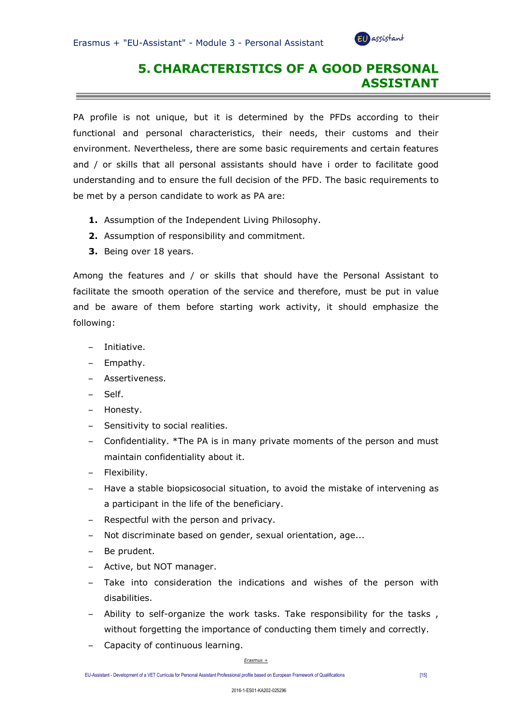

# **5. CHARACTERISTICS OF A GOOD PERSONAL ASSISTANT**

PA profile is not unique, but it is determined by the PFDs according to their functional and personal characteristics, their needs, their customs and their environment. Nevertheless, there are some basic requirements and certain features and / or skills that all personal assistants should have i order to facilitate good understanding and to ensure the full decision of the PFD. The basic requirements to be met by a person candidate to work as PA are:

- **1.** Assumption of the Independent Living Philosophy.
- **2.** Assumption of responsibility and commitment.
- **3.** Being over 18 years.

Among the features and / or skills that should have the Personal Assistant to facilitate the smooth operation of the service and therefore, must be put in value and be aware of them before starting work activity, it should emphasize the following:

- Initiative.
- Empathy.
- Assertiveness.
- Self.
- Honesty.
- Sensitivity to social realities.
- Confidentiality. \*The PA is in many private moments of the person and must maintain confidentiality about it.
- Flexibility.
- Have a stable biopsicosocial situation, to avoid the mistake of intervening as a participant in the life of the beneficiary.
- Respectful with the person and privacy.
- Not discriminate based on gender, sexual orientation, age...
- Be prudent.
- Active, but NOT manager.
- Take into consideration the indications and wishes of the person with disabilities.
- Ability to self-organize the work tasks. Take responsibility for the tasks , without forgetting the importance of conducting them timely and correctly.
- Capacity of continuous learning.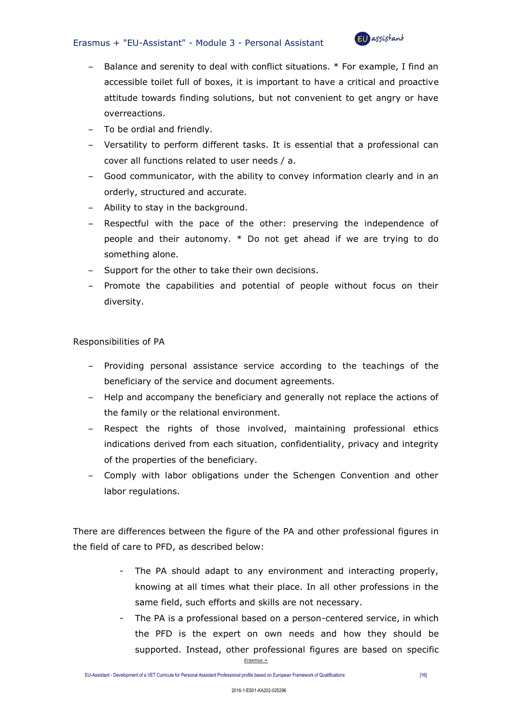#### Erasmus + "EU-Assistant" - Module 3 - Personal Assistant



- Balance and serenity to deal with conflict situations. \* For example, I find an accessible toilet full of boxes, it is important to have a critical and proactive attitude towards finding solutions, but not convenient to get angry or have overreactions.
- To be ordial and friendly.
- Versatility to perform different tasks. It is essential that a professional can cover all functions related to user needs / a.
- Good communicator, with the ability to convey information clearly and in an orderly, structured and accurate.
- Ability to stay in the background.
- Respectful with the pace of the other: preserving the independence of people and their autonomy. \* Do not get ahead if we are trying to do something alone.
- Support for the other to take their own decisions.
- Promote the capabilities and potential of people without focus on their diversity.

Responsibilities of PA

- Providing personal assistance service according to the teachings of the beneficiary of the service and document agreements.
- Help and accompany the beneficiary and generally not replace the actions of the family or the relational environment.
- Respect the rights of those involved, maintaining professional ethics indications derived from each situation, confidentiality, privacy and integrity of the properties of the beneficiary.
- Comply with labor obligations under the Schengen Convention and other labor regulations.

There are differences between the figure of the PA and other professional figures in the field of care to PFD, as described below:

- The PA should adapt to any environment and interacting properly, knowing at all times what their place. In all other professions in the same field, such efforts and skills are not necessary.
- *Erasmus +* - The PA is a professional based on a person-centered service, in which the PFD is the expert on own needs and how they should be supported. Instead, other professional figures are based on specific

EU-Assistant - Development of a VET Curricula for Personal Assistant Professional profile based on European Framework of Qualifications [16]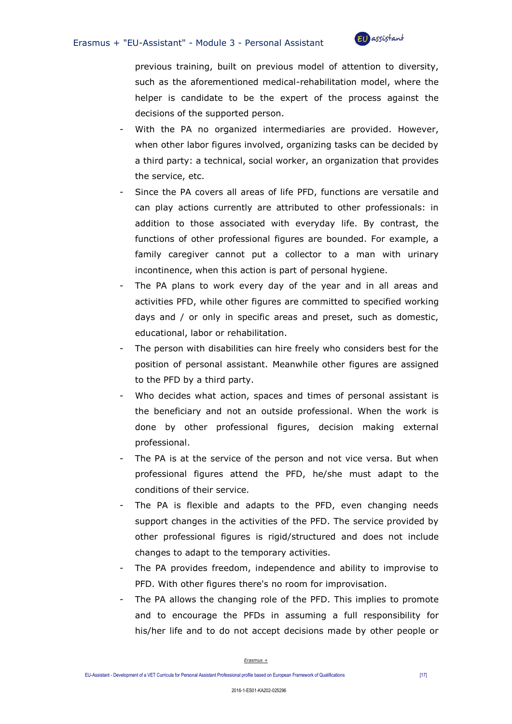

previous training, built on previous model of attention to diversity, such as the aforementioned medical-rehabilitation model, where the helper is candidate to be the expert of the process against the decisions of the supported person.

- With the PA no organized intermediaries are provided. However, when other labor figures involved, organizing tasks can be decided by a third party: a technical, social worker, an organization that provides the service, etc.
- Since the PA covers all areas of life PFD, functions are versatile and can play actions currently are attributed to other professionals: in addition to those associated with everyday life. By contrast, the functions of other professional figures are bounded. For example, a family caregiver cannot put a collector to a man with urinary incontinence, when this action is part of personal hygiene.
- The PA plans to work every day of the year and in all areas and activities PFD, while other figures are committed to specified working days and / or only in specific areas and preset, such as domestic, educational, labor or rehabilitation.
- The person with disabilities can hire freely who considers best for the position of personal assistant. Meanwhile other figures are assigned to the PFD by a third party.
- Who decides what action, spaces and times of personal assistant is the beneficiary and not an outside professional. When the work is done by other professional figures, decision making external professional.
- The PA is at the service of the person and not vice versa. But when professional figures attend the PFD, he/she must adapt to the conditions of their service.
- The PA is flexible and adapts to the PFD, even changing needs support changes in the activities of the PFD. The service provided by other professional figures is rigid/structured and does not include changes to adapt to the temporary activities.
- The PA provides freedom, independence and ability to improvise to PFD. With other figures there's no room for improvisation.
- The PA allows the changing role of the PFD. This implies to promote and to encourage the PFDs in assuming a full responsibility for his/her life and to do not accept decisions made by other people or

EU-Assistant - Development of a VET Curricula for Personal Assistant Professional profile based on European Framework of Qualifications [17]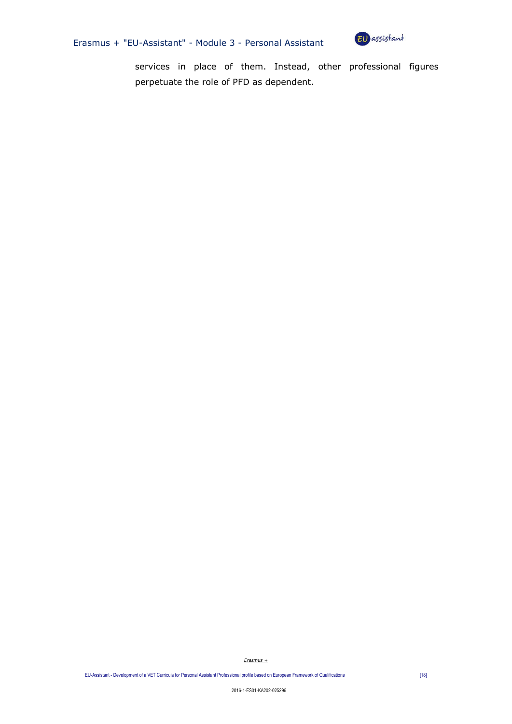



services in place of them. Instead, other professional figures perpetuate the role of PFD as dependent.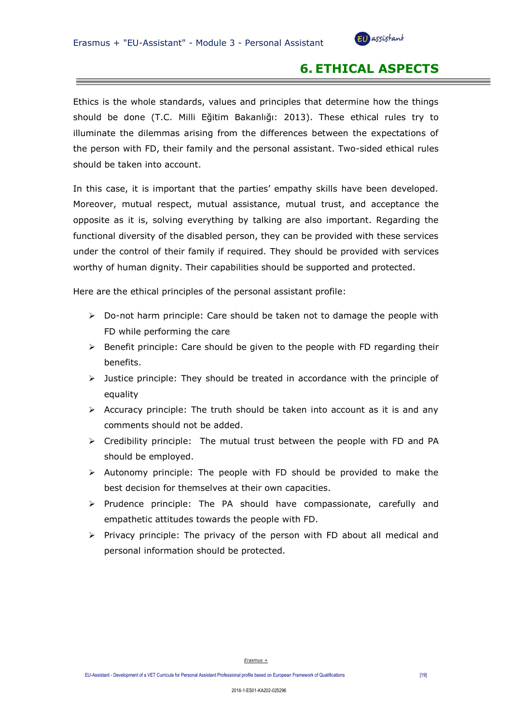

# **6. ETHICAL ASPECTS**

Ethics is the whole standards, values and principles that determine how the things should be done (T.C. Milli Eğitim Bakanlığı: 2013). These ethical rules try to illuminate the dilemmas arising from the differences between the expectations of the person with FD, their family and the personal assistant. Two-sided ethical rules should be taken into account.

In this case, it is important that the parties' empathy skills have been developed. Moreover, mutual respect, mutual assistance, mutual trust, and acceptance the opposite as it is, solving everything by talking are also important. Regarding the functional diversity of the disabled person, they can be provided with these services under the control of their family if required. They should be provided with services worthy of human dignity. Their capabilities should be supported and protected.

Here are the ethical principles of the personal assistant profile:

- $\triangleright$  Do-not harm principle: Care should be taken not to damage the people with FD while performing the care
- $\triangleright$  Benefit principle: Care should be given to the people with FD regarding their benefits.
- $\triangleright$  Justice principle: They should be treated in accordance with the principle of equality
- $\triangleright$  Accuracy principle: The truth should be taken into account as it is and any comments should not be added.
- $\triangleright$  Credibility principle: The mutual trust between the people with FD and PA should be employed.
- $\triangleright$  Autonomy principle: The people with FD should be provided to make the best decision for themselves at their own capacities.
- $\triangleright$  Prudence principle: The PA should have compassionate, carefully and empathetic attitudes towards the people with FD.
- $\triangleright$  Privacy principle: The privacy of the person with FD about all medical and personal information should be protected.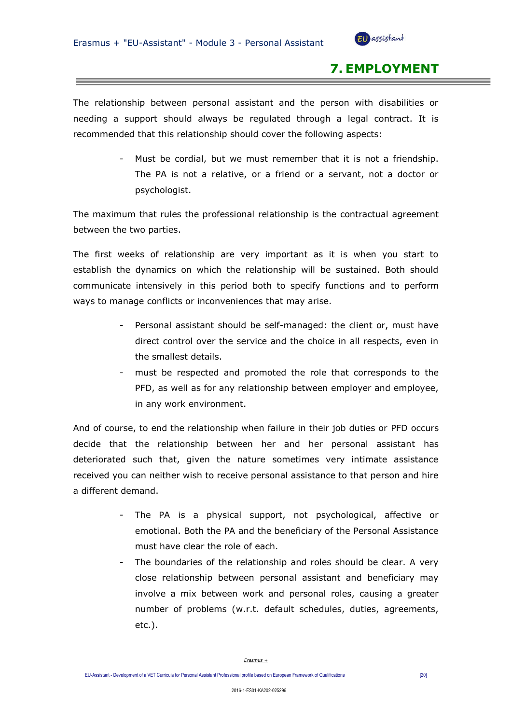

## **7. EMPLOYMENT**

The relationship between personal assistant and the person with disabilities or needing a support should always be regulated through a legal contract. It is recommended that this relationship should cover the following aspects:

> - Must be cordial, but we must remember that it is not a friendship. The PA is not a relative, or a friend or a servant, not a doctor or psychologist.

The maximum that rules the professional relationship is the contractual agreement between the two parties.

The first weeks of relationship are very important as it is when you start to establish the dynamics on which the relationship will be sustained. Both should communicate intensively in this period both to specify functions and to perform ways to manage conflicts or inconveniences that may arise.

- Personal assistant should be self-managed: the client or, must have direct control over the service and the choice in all respects, even in the smallest details.
- must be respected and promoted the role that corresponds to the PFD, as well as for any relationship between employer and employee, in any work environment.

And of course, to end the relationship when failure in their job duties or PFD occurs decide that the relationship between her and her personal assistant has deteriorated such that, given the nature sometimes very intimate assistance received you can neither wish to receive personal assistance to that person and hire a different demand.

- The PA is a physical support, not psychological, affective or emotional. Both the PA and the beneficiary of the Personal Assistance must have clear the role of each.
- The boundaries of the relationship and roles should be clear. A very close relationship between personal assistant and beneficiary may involve a mix between work and personal roles, causing a greater number of problems (w.r.t. default schedules, duties, agreements, etc.).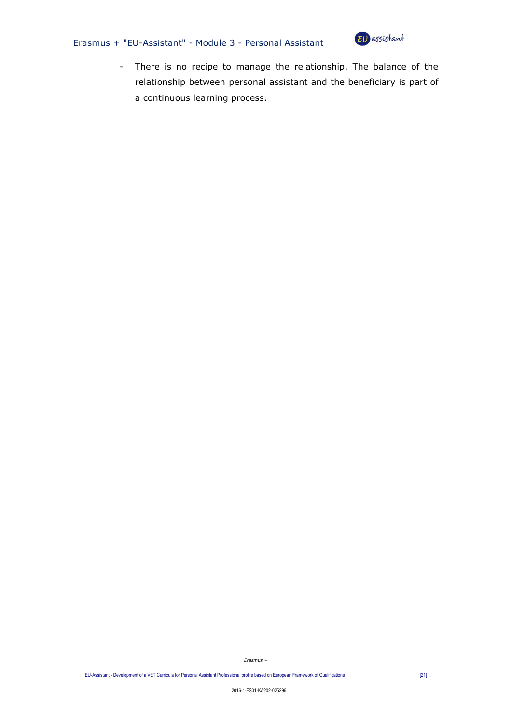## Erasmus + "EU-Assistant" - Module 3 - Personal Assistant



- There is no recipe to manage the relationship. The balance of the relationship between personal assistant and the beneficiary is part of a continuous learning process.